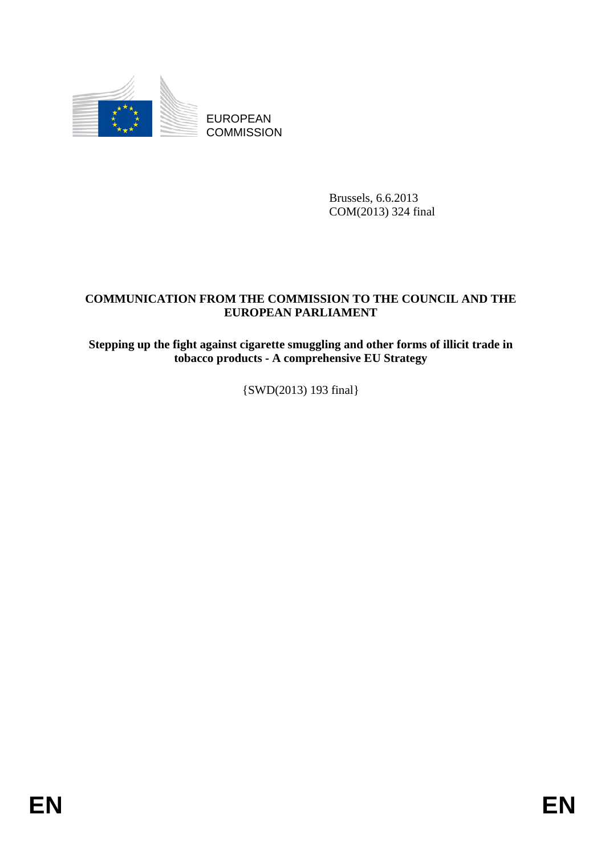

EUROPEAN **COMMISSION** 

> Brussels, 6.6.2013 COM(2013) 324 final

#### **COMMUNICATION FROM THE COMMISSION TO THE COUNCIL AND THE EUROPEAN PARLIAMENT**

**Stepping up the fight against cigarette smuggling and other forms of illicit trade in tobacco products - A comprehensive EU Strategy** 

{SWD(2013) 193 final}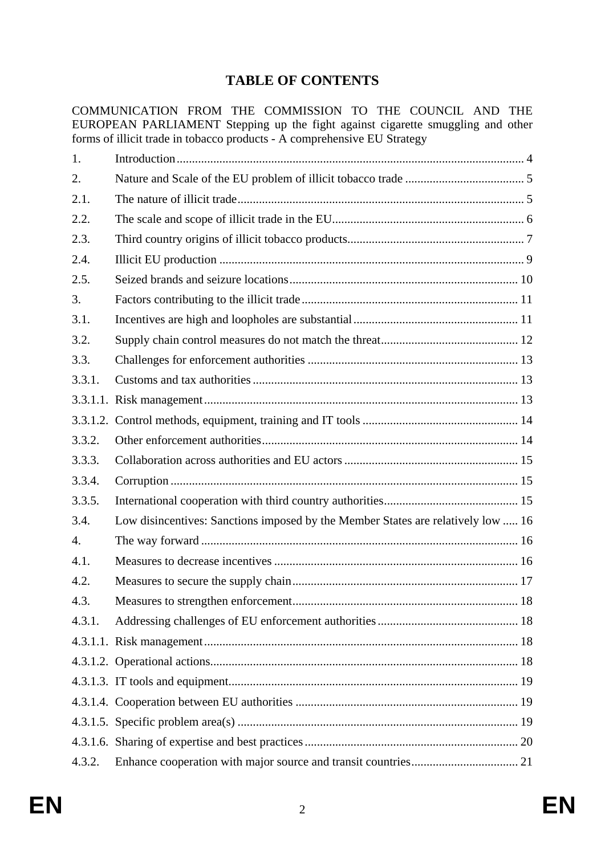# **TABLE OF CONTENTS**

COMMUNICATION FROM THE COMMISSION TO THE COUNCIL AND THE EUROPEAN PARLIAMENT Stepping up the fight against cigarette smuggling and other forms of illicit trade in tobacco products - A comprehensive EU Strategy

| 1.     |                                                                                  |  |
|--------|----------------------------------------------------------------------------------|--|
| 2.     |                                                                                  |  |
| 2.1.   |                                                                                  |  |
| 2.2.   |                                                                                  |  |
| 2.3.   |                                                                                  |  |
| 2.4.   |                                                                                  |  |
| 2.5.   |                                                                                  |  |
| 3.     |                                                                                  |  |
| 3.1.   |                                                                                  |  |
| 3.2.   |                                                                                  |  |
| 3.3.   |                                                                                  |  |
| 3.3.1. |                                                                                  |  |
|        |                                                                                  |  |
|        |                                                                                  |  |
| 3.3.2. |                                                                                  |  |
| 3.3.3. |                                                                                  |  |
| 3.3.4. |                                                                                  |  |
| 3.3.5. |                                                                                  |  |
| 3.4.   | Low disincentives: Sanctions imposed by the Member States are relatively low  16 |  |
| 4.     |                                                                                  |  |
| 4.1.   |                                                                                  |  |
| 4.2.   |                                                                                  |  |
| 4.3.   |                                                                                  |  |
| 4.3.1. |                                                                                  |  |
|        |                                                                                  |  |
|        |                                                                                  |  |
|        |                                                                                  |  |
|        |                                                                                  |  |
|        |                                                                                  |  |
|        |                                                                                  |  |
| 4.3.2. |                                                                                  |  |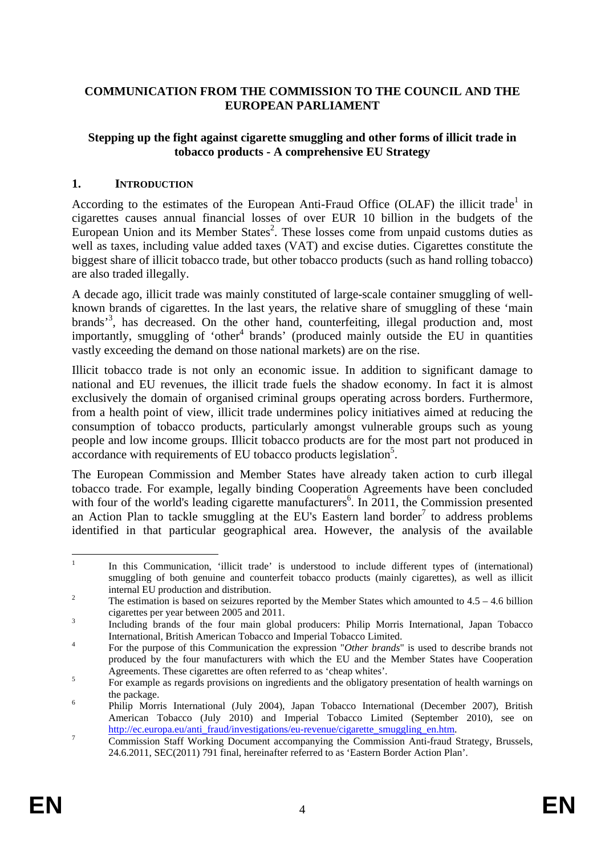### **COMMUNICATION FROM THE COMMISSION TO THE COUNCIL AND THE EUROPEAN PARLIAMENT**

#### **Stepping up the fight against cigarette smuggling and other forms of illicit trade in tobacco products - A comprehensive EU Strategy**

#### <span id="page-3-0"></span>**1. INTRODUCTION**

According to the estimates of the European Anti-Fraud Office (OLAF) the illicit trade<sup>1</sup> in cigarettes causes annual financial losses of over EUR 10 billion in the budgets of the European Union and its Member States<sup>2</sup>. These losses come from unpaid customs duties as well as taxes, including value added taxes (VAT) and excise duties. Cigarettes constitute the biggest share of illicit tobacco trade, but other tobacco products (such as hand rolling tobacco) are also traded illegally.

A decade ago, illicit trade was mainly constituted of large-scale container smuggling of wellknown brands of cigarettes. In the last years, the relative share of smuggling of these 'main brands<sup>3</sup>, has decreased. On the other hand, counterfeiting, illegal production and, most importantly, smuggling of 'other<sup>4</sup> brands' (produced mainly outside the EU in quantities vastly exceeding the demand on those national markets) are on the rise.

Illicit tobacco trade is not only an economic issue. In addition to significant damage to national and EU revenues, the illicit trade fuels the shadow economy. In fact it is almost exclusively the domain of organised criminal groups operating across borders. Furthermore, from a health point of view, illicit trade undermines policy initiatives aimed at reducing the consumption of tobacco products, particularly amongst vulnerable groups such as young people and low income groups. Illicit tobacco products are for the most part not produced in accordance with requirements of EU tobacco products legislation<sup>5</sup>.

The European Commission and Member States have already taken action to curb illegal tobacco trade. For example, legally binding Cooperation Agreements have been concluded with four of the world's leading cigarette manufacturers<sup>6</sup>. In 2011, the Commission presented an Action Plan to tackle smuggling at the EU's Eastern land border<sup>7</sup> to address problems identified in that particular geographical area. However, the analysis of the available

 $\frac{1}{1}$  In this Communication, 'illicit trade' is understood to include different types of (international) smuggling of both genuine and counterfeit tobacco products (mainly cigarettes), as well as illicit internal EU production and distribution.

The estimation is based on seizures reported by the Member States which amounted to  $4.5 - 4.6$  billion cigarettes per year between 2005 and 2011.

Including brands of the four main global producers: Philip Morris International, Japan Tobacco International, British American Tobacco and Imperial Tobacco Limited.

For the purpose of this Communication the expression "*Other brands*" is used to describe brands not produced by the four manufacturers with which the EU and the Member States have Cooperation Agreements. These cigarettes are often referred to as 'cheap whites'.

For example as regards provisions on ingredients and the obligatory presentation of health warnings on the package.

Philip Morris International (July 2004), Japan Tobacco International (December 2007), British American Tobacco (July 2010) and Imperial Tobacco Limited (September 2010), see on http://ec.europa.eu/anti\_fraud/investigations/eu-revenue/cigarette\_smuggling\_en.htm.

Commission Staff Working Document accompanying the Commission Anti-fraud Strategy, Brussels, 24.6.2011, SEC(2011) 791 final, hereinafter referred to as 'Eastern Border Action Plan'.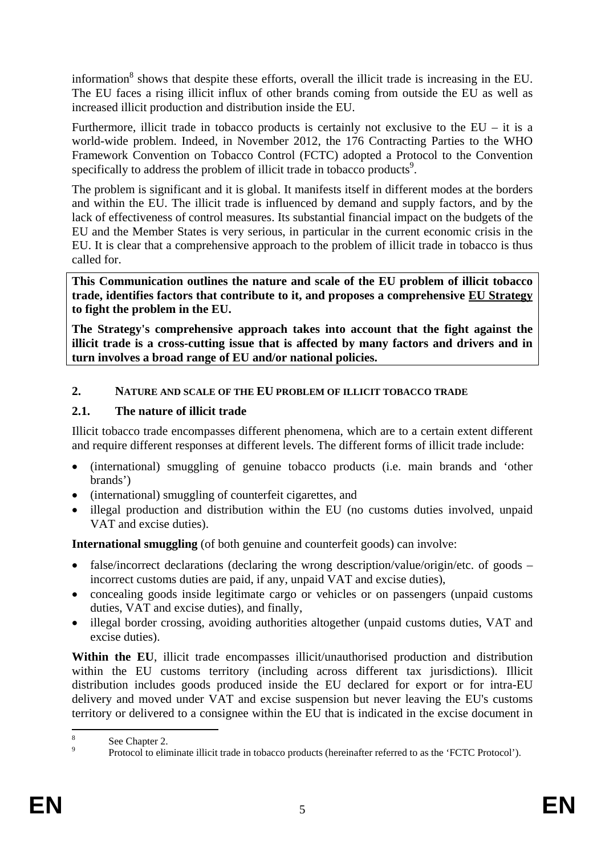information<sup>8</sup> shows that despite these efforts, overall the illicit trade is increasing in the EU. The EU faces a rising illicit influx of other brands coming from outside the EU as well as increased illicit production and distribution inside the EU.

Furthermore, illicit trade in tobacco products is certainly not exclusive to the  $EU - it$  is a world-wide problem. Indeed, in November 2012, the 176 Contracting Parties to the WHO Framework Convention on Tobacco Control (FCTC) adopted a Protocol to the Convention specifically to address the problem of illicit trade in tobacco products<sup>9</sup>.

The problem is significant and it is global. It manifests itself in different modes at the borders and within the EU. The illicit trade is influenced by demand and supply factors, and by the lack of effectiveness of control measures. Its substantial financial impact on the budgets of the EU and the Member States is very serious, in particular in the current economic crisis in the EU. It is clear that a comprehensive approach to the problem of illicit trade in tobacco is thus called for.

**This Communication outlines the nature and scale of the EU problem of illicit tobacco trade, identifies factors that contribute to it, and proposes a comprehensive EU Strategy to fight the problem in the EU.** 

**The Strategy's comprehensive approach takes into account that the fight against the illicit trade is a cross-cutting issue that is affected by many factors and drivers and in turn involves a broad range of EU and/or national policies.** 

#### <span id="page-4-0"></span>**2. NATURE AND SCALE OF THE EU PROBLEM OF ILLICIT TOBACCO TRADE**

### <span id="page-4-1"></span>**2.1. The nature of illicit trade**

Illicit tobacco trade encompasses different phenomena, which are to a certain extent different and require different responses at different levels. The different forms of illicit trade include:

- (international) smuggling of genuine tobacco products (i.e. main brands and 'other brands')
- (international) smuggling of counterfeit cigarettes, and
- illegal production and distribution within the EU (no customs duties involved, unpaid VAT and excise duties).

**International smuggling** (of both genuine and counterfeit goods) can involve:

- false/incorrect declarations (declaring the wrong description/value/origin/etc. of goods incorrect customs duties are paid, if any, unpaid VAT and excise duties),
- concealing goods inside legitimate cargo or vehicles or on passengers (unpaid customs duties, VAT and excise duties), and finally,
- illegal border crossing, avoiding authorities altogether (unpaid customs duties, VAT and excise duties).

Within the EU, illicit trade encompasses illicit/unauthorised production and distribution within the EU customs territory (including across different tax jurisdictions). Illicit distribution includes goods produced inside the EU declared for export or for intra-EU delivery and moved under VAT and excise suspension but never leaving the EU's customs territory or delivered to a consignee within the EU that is indicated in the excise document in

 $\frac{1}{8}$ See Chapter 2.

 $\overline{9}$ Protocol to eliminate illicit trade in tobacco products (hereinafter referred to as the 'FCTC Protocol').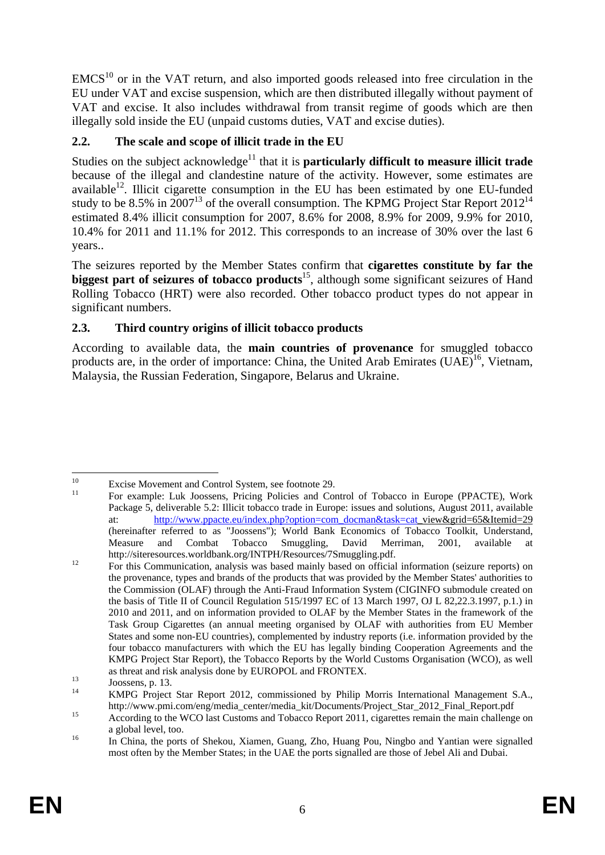$EMCS<sup>10</sup>$  or in the VAT return, and also imported goods released into free circulation in the EU under VAT and excise suspension, which are then distributed illegally without payment of VAT and excise. It also includes withdrawal from transit regime of goods which are then illegally sold inside the EU (unpaid customs duties, VAT and excise duties).

# <span id="page-5-0"></span>**2.2. The scale and scope of illicit trade in the EU**

Studies on the subject acknowledge<sup>11</sup> that it is **particularly difficult to measure illicit trade** because of the illegal and clandestine nature of the activity. However, some estimates are available $12$ . Illicit cigarette consumption in the EU has been estimated by one EU-funded study to be 8.5% in  $2007^{13}$  of the overall consumption. The KPMG Project Star Report  $2012^{14}$ estimated 8.4% illicit consumption for 2007, 8.6% for 2008, 8.9% for 2009, 9.9% for 2010, 10.4% for 2011 and 11.1% for 2012. This corresponds to an increase of 30% over the last 6 years..

The seizures reported by the Member States confirm that **cigarettes constitute by far the**  biggest part of seizures of tobacco products<sup>15</sup>, although some significant seizures of Hand Rolling Tobacco (HRT) were also recorded. Other tobacco product types do not appear in significant numbers.

# <span id="page-5-1"></span>**2.3. Third country origins of illicit tobacco products**

According to available data, the **main countries of provenance** for smuggled tobacco products are, in the order of importance: China, the United Arab Emirates  $(UAE)^{16}$ , Vietnam, Malaysia, the Russian Federation, Singapore, Belarus and Ukraine.

 $10\,$ <sup>10</sup> Excise Movement and Control System, see footnote 29.

<sup>11</sup> For example: Luk Joossens, Pricing Policies and Control of Tobacco in Europe (PPACTE), Work Package 5, deliverable 5.2: Illicit tobacco trade in Europe: issues and solutions, August 2011, available at: [http://www.ppacte.eu/index.php?option=com\\_docman&task=cat\\_](http://www.ppacte.eu/index.php?option=com_docman&task=cat)view&grid=65&Itemid=29 (hereinafter referred to as "Joossens"); World Bank Economics of Tobacco Toolkit, Understand, Measure and Combat Tobacco Smuggling, David Merriman, 2001, available at

http://siteresources.worldbank.org/INTPH/Resources/7Smuggling.pdf.<br>
For this Communication, analysis was based mainly based on official information (seizure reports) on the provenance, types and brands of the products that was provided by the Member States' authorities to the Commission (OLAF) through the Anti-Fraud Information System (CIGINFO submodule created on the basis of Title II of Council Regulation 515/1997 EC of 13 March 1997, OJ L 82,22.3.1997, p.1.) in 2010 and 2011, and on information provided to OLAF by the Member States in the framework of the Task Group Cigarettes (an annual meeting organised by OLAF with authorities from EU Member States and some non-EU countries), complemented by industry reports (i.e. information provided by the four tobacco manufacturers with which the EU has legally binding Cooperation Agreements and the KMPG Project Star Report), the Tobacco Reports by the World Customs Organisation (WCO), as well as threat and risk analysis done by EUROPOL and FRONTEX.<br>
Joossens, p. 13.<br>
14 JAPC President Star Present 2012, considering the Philip P

<sup>14</sup> KMPG Project Star Report 2012, commissioned by Philip Morris International Management S.A., http://www.pmi.com/eng/media\_center/media\_kit/Documents/Project\_Star\_2012\_Final\_Report.pdf <br>15 According to the WCO last Customs and Tobacco Report 2011, cigarettes remain the main challenge on

a global level, too.<br><sup>16</sup> In China, the ports of Shekou, Xiamen, Guang, Zho, Huang Pou, Ningbo and Yantian were signalled

most often by the Member States; in the UAE the ports signalled are those of Jebel Ali and Dubai.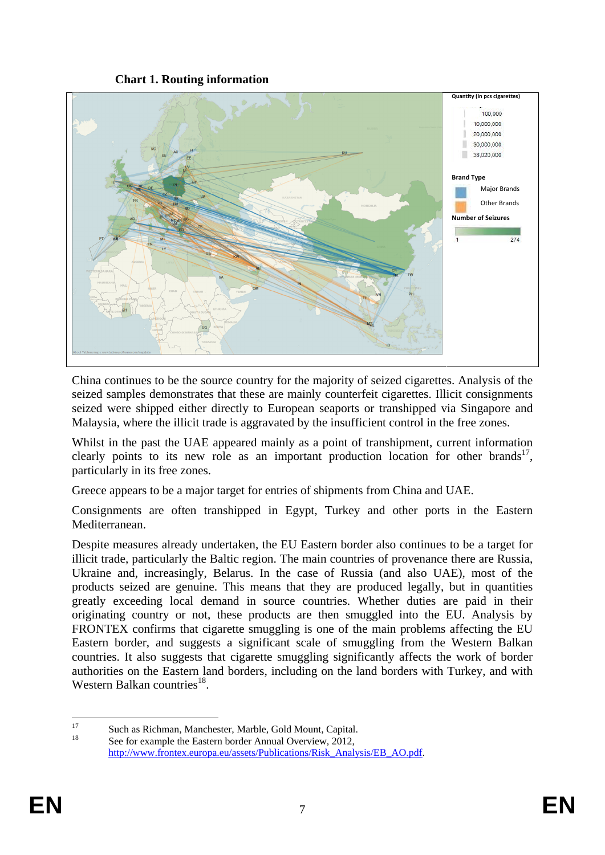**Chart 1. Routing information** 



China continues to be the source country for the majority of seized cigarettes. Analysis of the seized samples demonstrates that these are mainly counterfeit cigarettes. Illicit consignments seized were shipped either directly to European seaports or transhipped via Singapore and Malaysia, where the illicit trade is aggravated by the insufficient control in the free zones.

Whilst in the past the UAE appeared mainly as a point of transhipment, current information clearly points to its new role as an important production location for other brands<sup>17</sup>, particularly in its free zones.

Greece appears to be a major target for entries of shipments from China and UAE.

Consignments are often transhipped in Egypt, Turkey and other ports in the Eastern Mediterranean.

Despite measures already undertaken, the EU Eastern border also continues to be a target for illicit trade, particularly the Baltic region. The main countries of provenance there are Russia, Ukraine and, increasingly, Belarus. In the case of Russia (and also UAE), most of the products seized are genuine. This means that they are produced legally, but in quantities greatly exceeding local demand in source countries. Whether duties are paid in their originating country or not, these products are then smuggled into the EU. Analysis by FRONTEX confirms that cigarette smuggling is one of the main problems affecting the EU Eastern border, and suggests a significant scale of smuggling from the Western Balkan countries. It also suggests that cigarette smuggling significantly affects the work of border authorities on the Eastern land borders, including on the land borders with Turkey, and with Western Balkan countries $^{18}$ .

 $17$ <sup>17</sup> Such as Richman, Manchester, Marble, Gold Mount, Capital. See for example the Eastern border Annual Overview, 2012, [http://www.frontex.europa.eu/assets/Publications/Risk\\_Analysis/EB\\_AO.pdf.](http://www.frontex.europa.eu/assets/Publications/Risk_Analysis/EB_AO.pdf)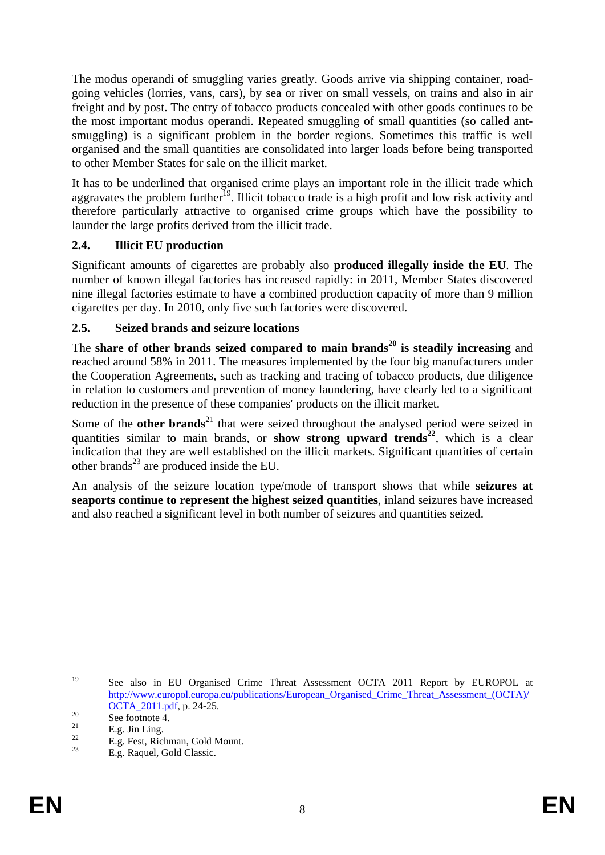The modus operandi of smuggling varies greatly. Goods arrive via shipping container, roadgoing vehicles (lorries, vans, cars), by sea or river on small vessels, on trains and also in air freight and by post. The entry of tobacco products concealed with other goods continues to be the most important modus operandi. Repeated smuggling of small quantities (so called antsmuggling) is a significant problem in the border regions. Sometimes this traffic is well organised and the small quantities are consolidated into larger loads before being transported to other Member States for sale on the illicit market.

It has to be underlined that organised crime plays an important role in the illicit trade which aggravates the problem further<sup>19</sup>. Illicit tobacco trade is a high profit and low risk activity and therefore particularly attractive to organised crime groups which have the possibility to launder the large profits derived from the illicit trade.

### <span id="page-7-0"></span>**2.4. Illicit EU production**

Significant amounts of cigarettes are probably also **produced illegally inside the EU**. The number of known illegal factories has increased rapidly: in 2011, Member States discovered nine illegal factories estimate to have a combined production capacity of more than 9 million cigarettes per day. In 2010, only five such factories were discovered.

### <span id="page-7-1"></span>**2.5. Seized brands and seizure locations**

The **share of other brands seized compared to main brands20 is steadily increasing** and reached around 58% in 2011. The measures implemented by the four big manufacturers under the Cooperation Agreements, such as tracking and tracing of tobacco products, due diligence in relation to customers and prevention of money laundering, have clearly led to a significant reduction in the presence of these companies' products on the illicit market.

Some of the **other brands**<sup>21</sup> that were seized throughout the analysed period were seized in quantities similar to main brands, or **show strong upward trends**<sup>22</sup>, which is a clear indication that they are well established on the illicit markets. Significant quantities of certain other brands<sup>23</sup> are produced inside the EU.

An analysis of the seizure location type/mode of transport shows that while **seizures at seaports continue to represent the highest seized quantities**, inland seizures have increased and also reached a significant level in both number of seizures and quantities seized.

19 See also in EU Organised Crime Threat Assessment OCTA 2011 Report by EUROPOL at http://www.europol.europa.eu/publications/European Organised Crime Threat Assessment (OCTA)/  $\frac{\text{OCTA}}{20}$  See footnote 4.<br>  $\frac{21}{5}$  See Footnote 4.

 $\frac{21}{22}$  E.g. Jin Ling.

 $^{22}$  E.g. Fest, Richman, Gold Mount.

E.g. Raquel, Gold Classic.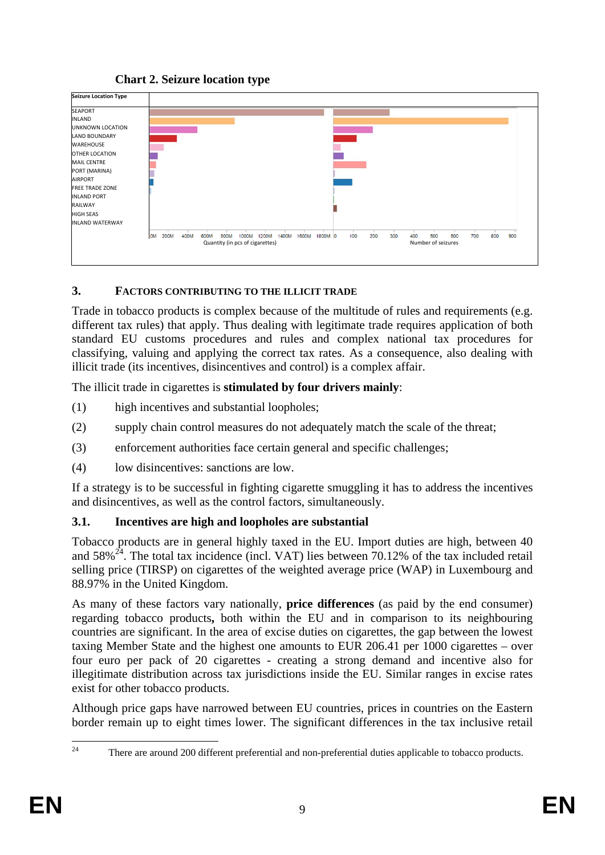### **Chart 2. Seizure location type**



#### <span id="page-8-0"></span>**3. FACTORS CONTRIBUTING TO THE ILLICIT TRADE**

Trade in tobacco products is complex because of the multitude of rules and requirements (e.g. different tax rules) that apply. Thus dealing with legitimate trade requires application of both standard EU customs procedures and rules and complex national tax procedures for classifying, valuing and applying the correct tax rates. As a consequence, also dealing with illicit trade (its incentives, disincentives and control) is a complex affair.

The illicit trade in cigarettes is **stimulated by four drivers mainly**:

- (1) high incentives and substantial loopholes;
- (2) supply chain control measures do not adequately match the scale of the threat;
- (3) enforcement authorities face certain general and specific challenges;
- (4) low disincentives: sanctions are low.

If a strategy is to be successful in fighting cigarette smuggling it has to address the incentives and disincentives, as well as the control factors, simultaneously.

#### <span id="page-8-1"></span>**3.1. Incentives are high and loopholes are substantial**

Tobacco products are in general highly taxed in the EU. Import duties are high, between 40 and  $58\%$ <sup>24</sup>. The total tax incidence (incl. VAT) lies between 70.12% of the tax included retail selling price (TIRSP) on cigarettes of the weighted average price (WAP) in Luxembourg and 88.97% in the United Kingdom.

As many of these factors vary nationally, **price differences** (as paid by the end consumer) regarding tobacco products**,** both within the EU and in comparison to its neighbouring countries are significant. In the area of excise duties on cigarettes, the gap between the lowest taxing Member State and the highest one amounts to EUR 206.41 per 1000 cigarettes – over four euro per pack of 20 cigarettes - creating a strong demand and incentive also for illegitimate distribution across tax jurisdictions inside the EU. Similar ranges in excise rates exist for other tobacco products.

Although price gaps have narrowed between EU countries, prices in countries on the Eastern border remain up to eight times lower. The significant differences in the tax inclusive retail

 $24$ 24 There are around 200 different preferential and non-preferential duties applicable to tobacco products.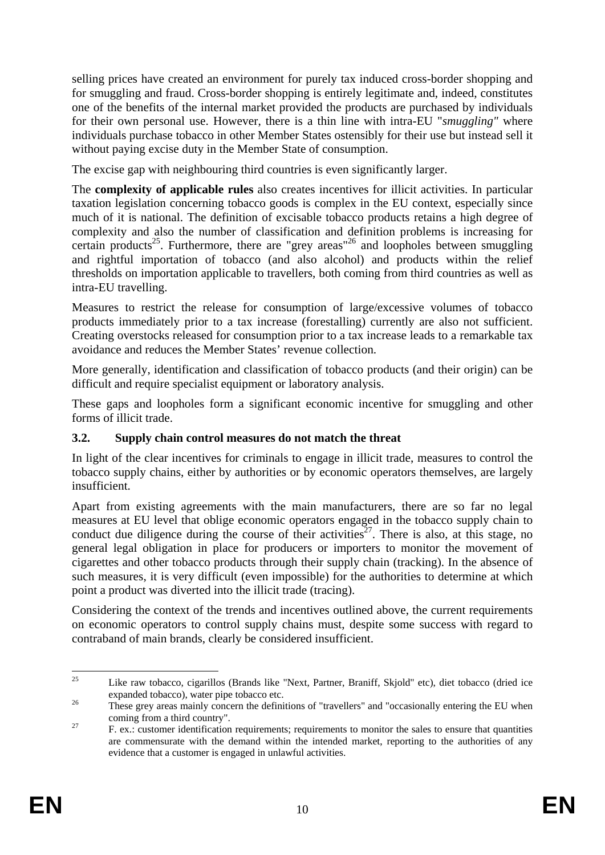selling prices have created an environment for purely tax induced cross-border shopping and for smuggling and fraud. Cross-border shopping is entirely legitimate and, indeed, constitutes one of the benefits of the internal market provided the products are purchased by individuals for their own personal use. However, there is a thin line with intra-EU "*smuggling"* where individuals purchase tobacco in other Member States ostensibly for their use but instead sell it without paying excise duty in the Member State of consumption.

The excise gap with neighbouring third countries is even significantly larger.

The **complexity of applicable rules** also creates incentives for illicit activities. In particular taxation legislation concerning tobacco goods is complex in the EU context, especially since much of it is national. The definition of excisable tobacco products retains a high degree of complexity and also the number of classification and definition problems is increasing for certain products<sup>25</sup>. Furthermore, there are "grey areas"<sup>26</sup> and loopholes between smuggling and rightful importation of tobacco (and also alcohol) and products within the relief thresholds on importation applicable to travellers, both coming from third countries as well as intra-EU travelling.

Measures to restrict the release for consumption of large/excessive volumes of tobacco products immediately prior to a tax increase (forestalling) currently are also not sufficient. Creating overstocks released for consumption prior to a tax increase leads to a remarkable tax avoidance and reduces the Member States' revenue collection.

More generally, identification and classification of tobacco products (and their origin) can be difficult and require specialist equipment or laboratory analysis.

These gaps and loopholes form a significant economic incentive for smuggling and other forms of illicit trade.

#### <span id="page-9-0"></span>**3.2. Supply chain control measures do not match the threat**

In light of the clear incentives for criminals to engage in illicit trade, measures to control the tobacco supply chains, either by authorities or by economic operators themselves, are largely insufficient.

Apart from existing agreements with the main manufacturers, there are so far no legal measures at EU level that oblige economic operators engaged in the tobacco supply chain to conduct due diligence during the course of their activities<sup>27</sup>. There is also, at this stage, no general legal obligation in place for producers or importers to monitor the movement of cigarettes and other tobacco products through their supply chain (tracking). In the absence of such measures, it is very difficult (even impossible) for the authorities to determine at which point a product was diverted into the illicit trade (tracing).

Considering the context of the trends and incentives outlined above, the current requirements on economic operators to control supply chains must, despite some success with regard to contraband of main brands, clearly be considered insufficient.

 $25$ 25 Like raw tobacco, cigarillos (Brands like "Next, Partner, Braniff, Skjold" etc), diet tobacco (dried ice

expanded tobacco), water pipe tobacco etc.<br><sup>26</sup> These grey areas mainly concern the definitions of "travellers" and "occasionally entering the EU when

coming from a third country".<br><sup>27</sup> F. ex.: customer identification requirements; requirements to monitor the sales to ensure that quantities are commensurate with the demand within the intended market, reporting to the authorities of any evidence that a customer is engaged in unlawful activities.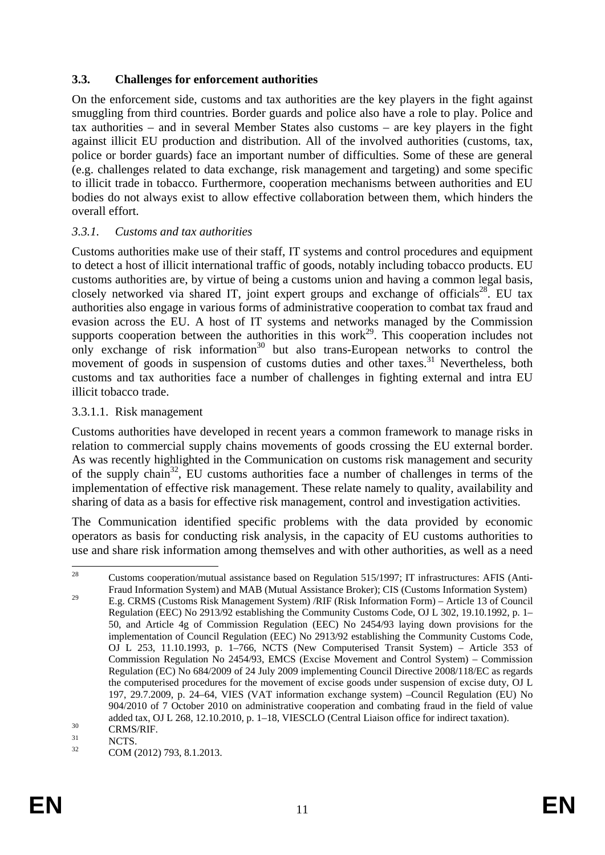### <span id="page-10-0"></span>**3.3. Challenges for enforcement authorities**

On the enforcement side, customs and tax authorities are the key players in the fight against smuggling from third countries. Border guards and police also have a role to play. Police and tax authorities – and in several Member States also customs – are key players in the fight against illicit EU production and distribution. All of the involved authorities (customs, tax, police or border guards) face an important number of difficulties. Some of these are general (e.g. challenges related to data exchange, risk management and targeting) and some specific to illicit trade in tobacco. Furthermore, cooperation mechanisms between authorities and EU bodies do not always exist to allow effective collaboration between them, which hinders the overall effort.

#### <span id="page-10-1"></span>*3.3.1. Customs and tax authorities*

Customs authorities make use of their staff, IT systems and control procedures and equipment to detect a host of illicit international traffic of goods, notably including tobacco products. EU customs authorities are, by virtue of being a customs union and having a common legal basis, closely networked via shared IT, joint expert groups and exchange of officials<sup>28</sup>. EU tax authorities also engage in various forms of administrative cooperation to combat tax fraud and evasion across the EU. A host of IT systems and networks managed by the Commission supports cooperation between the authorities in this work<sup>29</sup>. This cooperation includes not only exchange of risk information<sup>30</sup> but also trans-European networks to control the movement of goods in suspension of customs duties and other taxes.<sup>31</sup> Nevertheless, both customs and tax authorities face a number of challenges in fighting external and intra EU illicit tobacco trade.

#### <span id="page-10-2"></span>3.3.1.1. Risk management

Customs authorities have developed in recent years a common framework to manage risks in relation to commercial supply chains movements of goods crossing the EU external border. As was recently highlighted in the Communication on customs risk management and security of the supply chain32, EU customs authorities face a number of challenges in terms of the implementation of effective risk management. These relate namely to quality, availability and sharing of data as a basis for effective risk management, control and investigation activities.

The Communication identified specific problems with the data provided by economic operators as basis for conducting risk analysis, in the capacity of EU customs authorities to use and share risk information among themselves and with other authorities, as well as a need

<sup>28</sup> 28 Customs cooperation/mutual assistance based on Regulation 515/1997; IT infrastructures: AFIS (Anti-Fraud Information System) and MAB (Mutual Assistance Broker); CIS (Customs Information System)

<sup>&</sup>lt;sup>29</sup> E.g. CRMS (Customs Risk Management System) /RIF (Risk Information Form) – Article 13 of Council Regulation (EEC) No 2913/92 establishing the Community Customs Code, OJ L 302, 19.10.1992, p. 1– 50, and Article 4g of Commission Regulation (EEC) No 2454/93 laying down provisions for the implementation of Council Regulation (EEC) No 2913/92 establishing the Community Customs Code, OJ L 253, 11.10.1993, p. 1–766, NCTS (New Computerised Transit System) – Article 353 of Commission Regulation No 2454/93, EMCS (Excise Movement and Control System) – Commission Regulation (EC) No 684/2009 of 24 July 2009 implementing Council Directive 2008/118/EC as regards the computerised procedures for the movement of excise goods under suspension of excise duty, OJ L 197, 29.7.2009, p. 24–64, VIES (VAT information exchange system) –Council Regulation (EU) No 904/2010 of 7 October 2010 on administrative cooperation and combating fraud in the field of value added tax, OJ L 268, 12.10.2010, p. 1–18, VIESCLO (Central Liaison office for indirect taxation).<br>
SIGNS/RIF.<br>
NCTS

 $\frac{31}{32}$  NCTS.

COM (2012) 793, 8.1.2013.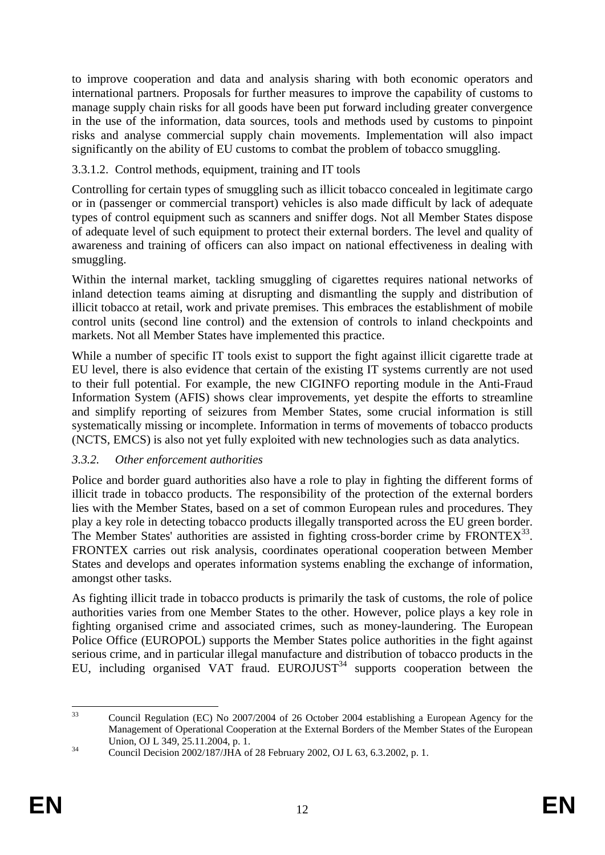to improve cooperation and data and analysis sharing with both economic operators and international partners. Proposals for further measures to improve the capability of customs to manage supply chain risks for all goods have been put forward including greater convergence in the use of the information, data sources, tools and methods used by customs to pinpoint risks and analyse commercial supply chain movements. Implementation will also impact significantly on the ability of EU customs to combat the problem of tobacco smuggling.

### <span id="page-11-0"></span>3.3.1.2. Control methods, equipment, training and IT tools

Controlling for certain types of smuggling such as illicit tobacco concealed in legitimate cargo or in (passenger or commercial transport) vehicles is also made difficult by lack of adequate types of control equipment such as scanners and sniffer dogs. Not all Member States dispose of adequate level of such equipment to protect their external borders. The level and quality of awareness and training of officers can also impact on national effectiveness in dealing with smuggling.

Within the internal market, tackling smuggling of cigarettes requires national networks of inland detection teams aiming at disrupting and dismantling the supply and distribution of illicit tobacco at retail, work and private premises. This embraces the establishment of mobile control units (second line control) and the extension of controls to inland checkpoints and markets. Not all Member States have implemented this practice.

While a number of specific IT tools exist to support the fight against illicit cigarette trade at EU level, there is also evidence that certain of the existing IT systems currently are not used to their full potential. For example, the new CIGINFO reporting module in the Anti-Fraud Information System (AFIS) shows clear improvements, yet despite the efforts to streamline and simplify reporting of seizures from Member States, some crucial information is still systematically missing or incomplete. Information in terms of movements of tobacco products (NCTS, EMCS) is also not yet fully exploited with new technologies such as data analytics.

# <span id="page-11-1"></span>*3.3.2. Other enforcement authorities*

Police and border guard authorities also have a role to play in fighting the different forms of illicit trade in tobacco products. The responsibility of the protection of the external borders lies with the Member States, based on a set of common European rules and procedures. They play a key role in detecting tobacco products illegally transported across the EU green border. The Member States' authorities are assisted in fighting cross-border crime by  $FRONTEX^{33}$ . FRONTEX carries out risk analysis, coordinates operational cooperation between Member States and develops and operates information systems enabling the exchange of information, amongst other tasks.

As fighting illicit trade in tobacco products is primarily the task of customs, the role of police authorities varies from one Member States to the other. However, police plays a key role in fighting organised crime and associated crimes, such as money-laundering. The European Police Office (EUROPOL) supports the Member States police authorities in the fight against serious crime, and in particular illegal manufacture and distribution of tobacco products in the EU, including organised VAT fraud. EUROJUST<sup>34</sup> supports cooperation between the

 $33$ 33 Council Regulation (EC) No 2007/2004 of 26 October 2004 establishing a European Agency for the Management of Operational Cooperation at the External Borders of the Member States of the European Union, OJ L 349, 25.11.2004, p. 1.<br>
34 Council Decision 2002/187/JHA of 28 February 2002, OJ L 63, 6.3.2002, p. 1.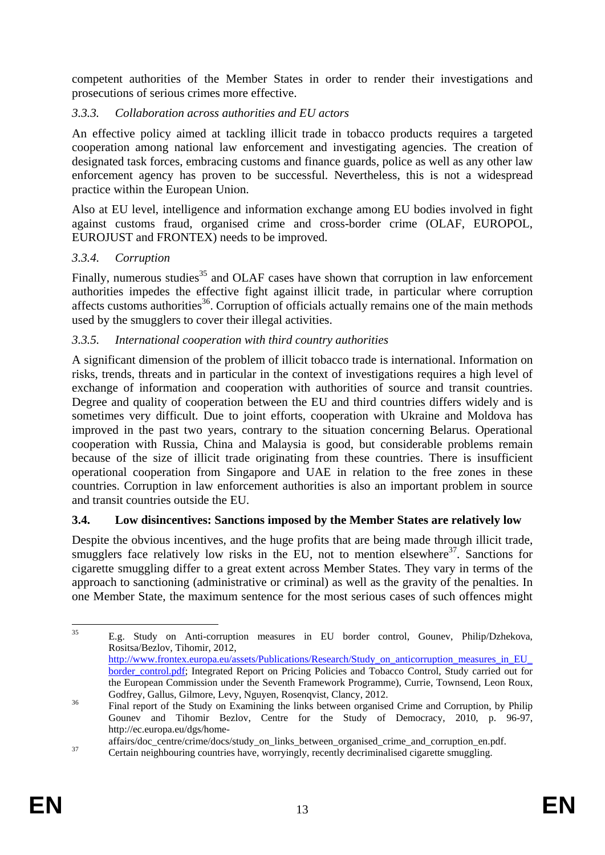competent authorities of the Member States in order to render their investigations and prosecutions of serious crimes more effective.

### <span id="page-12-0"></span>*3.3.3. Collaboration across authorities and EU actors*

An effective policy aimed at tackling illicit trade in tobacco products requires a targeted cooperation among national law enforcement and investigating agencies. The creation of designated task forces, embracing customs and finance guards, police as well as any other law enforcement agency has proven to be successful. Nevertheless, this is not a widespread practice within the European Union.

Also at EU level, intelligence and information exchange among EU bodies involved in fight against customs fraud, organised crime and cross-border crime (OLAF, EUROPOL, EUROJUST and FRONTEX) needs to be improved.

### <span id="page-12-1"></span>*3.3.4. Corruption*

Finally, numerous studies<sup>35</sup> and OLAF cases have shown that corruption in law enforcement authorities impedes the effective fight against illicit trade, in particular where corruption affects customs authorities<sup>36</sup>. Corruption of officials actually remains one of the main methods used by the smugglers to cover their illegal activities.

### <span id="page-12-2"></span>*3.3.5. International cooperation with third country authorities*

A significant dimension of the problem of illicit tobacco trade is international. Information on risks, trends, threats and in particular in the context of investigations requires a high level of exchange of information and cooperation with authorities of source and transit countries. Degree and quality of cooperation between the EU and third countries differs widely and is sometimes very difficult. Due to joint efforts, cooperation with Ukraine and Moldova has improved in the past two years, contrary to the situation concerning Belarus. Operational cooperation with Russia, China and Malaysia is good, but considerable problems remain because of the size of illicit trade originating from these countries. There is insufficient operational cooperation from Singapore and UAE in relation to the free zones in these countries. Corruption in law enforcement authorities is also an important problem in source and transit countries outside the EU.

# <span id="page-12-3"></span>**3.4. Low disincentives: Sanctions imposed by the Member States are relatively low**

Despite the obvious incentives, and the huge profits that are being made through illicit trade, smugglers face relatively low risks in the EU, not to mention elsewhere $37$ . Sanctions for cigarette smuggling differ to a great extent across Member States. They vary in terms of the approach to sanctioning (administrative or criminal) as well as the gravity of the penalties. In one Member State, the maximum sentence for the most serious cases of such offences might

 $35$ 35 E.g. Study on Anti-corruption measures in EU border control, Gounev, Philip/Dzhekova, Rositsa/Bezlov, Tihomir, 2012, [http://www.frontex.europa.eu/assets/Publications/Research/Study\\_on\\_anticorruption\\_measures\\_in\\_EU\\_](http://www.frontex.europa.eu/assets/Publications/Research/Study_on_anticorruption_measures_in_EU_border_control.pdf)

[border\\_control.pdf;](http://www.frontex.europa.eu/assets/Publications/Research/Study_on_anticorruption_measures_in_EU_border_control.pdf) Integrated Report on Pricing Policies and Tobacco Control, Study carried out for the European Commission under the Seventh Framework Programme), Currie, Townsend, Leon Roux, Godfrey, Gallus, Gilmore, Levy, Nguyen, Rosenqvist, Clancy, 2012.<br><sup>36</sup> Final report of the Study on Examining the links between organised Crime and Corruption, by Philip

Gounev and Tihomir Bezlov, Centre for the Study of Democracy, 2010, p. 96-97, http://ec.europa.eu/dgs/home-

affairs/doc\_centre/crime/docs/study\_on\_links\_between\_organised\_crime\_and\_corruption\_en.pdf.<br>37 Certain neighbouring countries have, worryingly, recently decriminalised cigarette smuggling.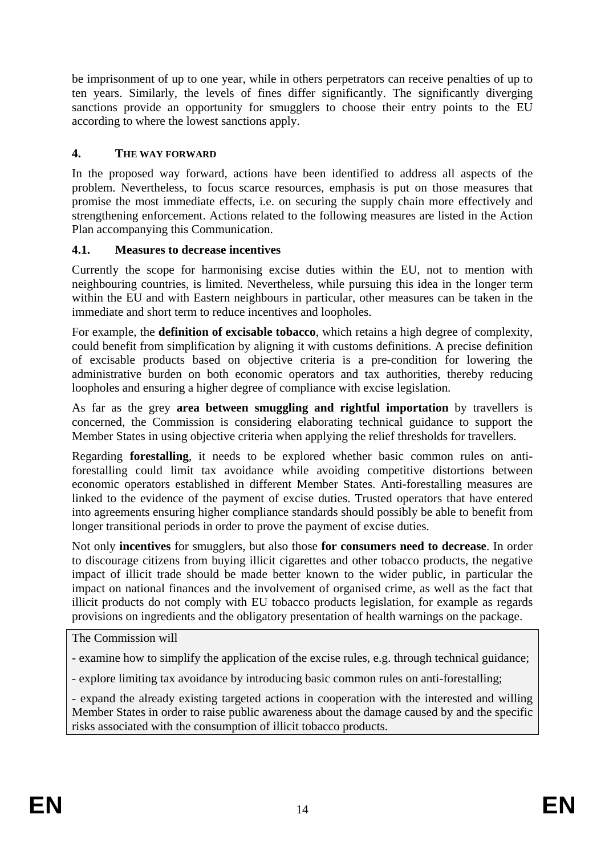be imprisonment of up to one year, while in others perpetrators can receive penalties of up to ten years. Similarly, the levels of fines differ significantly. The significantly diverging sanctions provide an opportunity for smugglers to choose their entry points to the EU according to where the lowest sanctions apply.

### <span id="page-13-0"></span>**4. THE WAY FORWARD**

In the proposed way forward, actions have been identified to address all aspects of the problem. Nevertheless, to focus scarce resources, emphasis is put on those measures that promise the most immediate effects, i.e. on securing the supply chain more effectively and strengthening enforcement. Actions related to the following measures are listed in the Action Plan accompanying this Communication.

#### <span id="page-13-1"></span>**4.1. Measures to decrease incentives**

Currently the scope for harmonising excise duties within the EU, not to mention with neighbouring countries, is limited. Nevertheless, while pursuing this idea in the longer term within the EU and with Eastern neighbours in particular, other measures can be taken in the immediate and short term to reduce incentives and loopholes.

For example, the **definition of excisable tobacco**, which retains a high degree of complexity, could benefit from simplification by aligning it with customs definitions. A precise definition of excisable products based on objective criteria is a pre-condition for lowering the administrative burden on both economic operators and tax authorities, thereby reducing loopholes and ensuring a higher degree of compliance with excise legislation.

As far as the grey **area between smuggling and rightful importation** by travellers is concerned, the Commission is considering elaborating technical guidance to support the Member States in using objective criteria when applying the relief thresholds for travellers.

Regarding **forestalling**, it needs to be explored whether basic common rules on antiforestalling could limit tax avoidance while avoiding competitive distortions between economic operators established in different Member States. Anti-forestalling measures are linked to the evidence of the payment of excise duties. Trusted operators that have entered into agreements ensuring higher compliance standards should possibly be able to benefit from longer transitional periods in order to prove the payment of excise duties.

Not only **incentives** for smugglers, but also those **for consumers need to decrease**. In order to discourage citizens from buying illicit cigarettes and other tobacco products, the negative impact of illicit trade should be made better known to the wider public, in particular the impact on national finances and the involvement of organised crime, as well as the fact that illicit products do not comply with EU tobacco products legislation, for example as regards provisions on ingredients and the obligatory presentation of health warnings on the package.

The Commission will

- examine how to simplify the application of the excise rules, e.g. through technical guidance;

- explore limiting tax avoidance by introducing basic common rules on anti-forestalling;

- expand the already existing targeted actions in cooperation with the interested and willing Member States in order to raise public awareness about the damage caused by and the specific risks associated with the consumption of illicit tobacco products.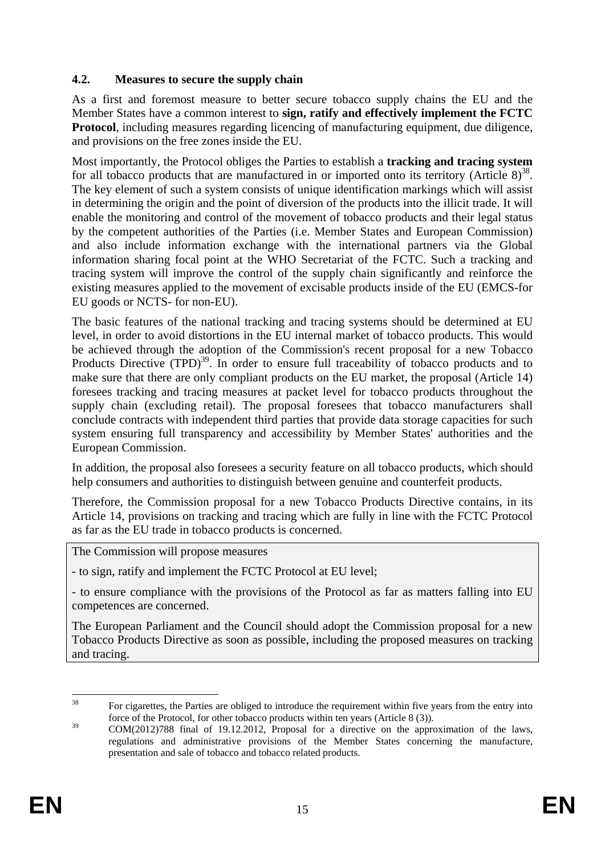### <span id="page-14-0"></span>**4.2. Measures to secure the supply chain**

As a first and foremost measure to better secure tobacco supply chains the EU and the Member States have a common interest to **sign, ratify and effectively implement the FCTC Protocol**, including measures regarding licencing of manufacturing equipment, due diligence, and provisions on the free zones inside the EU.

Most importantly, the Protocol obliges the Parties to establish a **tracking and tracing system** for all tobacco products that are manufactured in or imported onto its territory (Article  $8^{38}$ . The key element of such a system consists of unique identification markings which will assist in determining the origin and the point of diversion of the products into the illicit trade. It will enable the monitoring and control of the movement of tobacco products and their legal status by the competent authorities of the Parties (i.e. Member States and European Commission) and also include information exchange with the international partners via the Global information sharing focal point at the WHO Secretariat of the FCTC. Such a tracking and tracing system will improve the control of the supply chain significantly and reinforce the existing measures applied to the movement of excisable products inside of the EU (EMCS-for EU goods or NCTS- for non-EU).

The basic features of the national tracking and tracing systems should be determined at EU level, in order to avoid distortions in the EU internal market of tobacco products. This would be achieved through the adoption of the Commission's recent proposal for a new Tobacco Products Directive  $(TPD)^{39}$ . In order to ensure full traceability of tobacco products and to make sure that there are only compliant products on the EU market, the proposal (Article 14) foresees tracking and tracing measures at packet level for tobacco products throughout the supply chain (excluding retail). The proposal foresees that tobacco manufacturers shall conclude contracts with independent third parties that provide data storage capacities for such system ensuring full transparency and accessibility by Member States' authorities and the European Commission.

In addition, the proposal also foresees a security feature on all tobacco products, which should help consumers and authorities to distinguish between genuine and counterfeit products.

Therefore, the Commission proposal for a new Tobacco Products Directive contains, in its Article 14, provisions on tracking and tracing which are fully in line with the FCTC Protocol as far as the EU trade in tobacco products is concerned.

The Commission will propose measures

- to sign, ratify and implement the FCTC Protocol at EU level;

- to ensure compliance with the provisions of the Protocol as far as matters falling into EU competences are concerned.

The European Parliament and the Council should adopt the Commission proposal for a new Tobacco Products Directive as soon as possible, including the proposed measures on tracking and tracing.

 $38$ 38 For cigarettes, the Parties are obliged to introduce the requirement within five years from the entry into force of the Protocol, for other tobacco products within ten years (Article 8 (3)).

<sup>&</sup>lt;sup>39</sup> COM(2012)788 final of 19.12.2012, Proposal for a directive on the approximation of the laws, regulations and administrative provisions of the Member States concerning the manufacture, presentation and sale of tobacco and tobacco related products.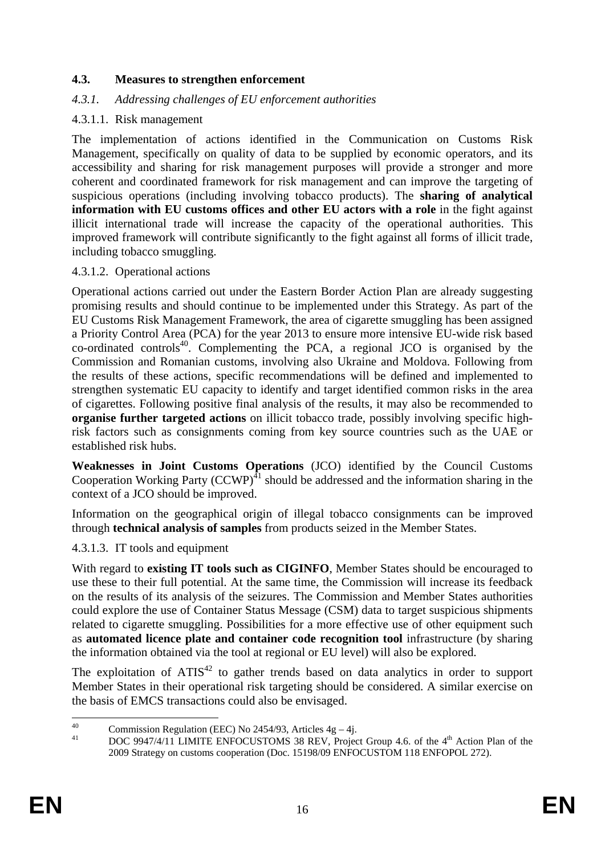#### <span id="page-15-0"></span>**4.3. Measures to strengthen enforcement**

#### <span id="page-15-1"></span>*4.3.1. Addressing challenges of EU enforcement authorities*

#### <span id="page-15-2"></span>4.3.1.1. Risk management

The implementation of actions identified in the Communication on Customs Risk Management, specifically on quality of data to be supplied by economic operators, and its accessibility and sharing for risk management purposes will provide a stronger and more coherent and coordinated framework for risk management and can improve the targeting of suspicious operations (including involving tobacco products). The **sharing of analytical information with EU customs offices and other EU actors with a role** in the fight against illicit international trade will increase the capacity of the operational authorities. This improved framework will contribute significantly to the fight against all forms of illicit trade, including tobacco smuggling.

#### <span id="page-15-3"></span>4.3.1.2. Operational actions

Operational actions carried out under the Eastern Border Action Plan are already suggesting promising results and should continue to be implemented under this Strategy. As part of the EU Customs Risk Management Framework, the area of cigarette smuggling has been assigned a Priority Control Area (PCA) for the year 2013 to ensure more intensive EU-wide risk based co-ordinated controls40. Complementing the PCA, a regional JCO is organised by the Commission and Romanian customs, involving also Ukraine and Moldova. Following from the results of these actions, specific recommendations will be defined and implemented to strengthen systematic EU capacity to identify and target identified common risks in the area of cigarettes. Following positive final analysis of the results, it may also be recommended to **organise further targeted actions** on illicit tobacco trade, possibly involving specific highrisk factors such as consignments coming from key source countries such as the UAE or established risk hubs.

**Weaknesses in Joint Customs Operations** (JCO) identified by the Council Customs Cooperation Working Party  $(CCWP)^{41}$  should be addressed and the information sharing in the context of a JCO should be improved.

Information on the geographical origin of illegal tobacco consignments can be improved through **technical analysis of samples** from products seized in the Member States.

<span id="page-15-4"></span>4.3.1.3. IT tools and equipment

With regard to **existing IT tools such as CIGINFO**, Member States should be encouraged to use these to their full potential. At the same time, the Commission will increase its feedback on the results of its analysis of the seizures. The Commission and Member States authorities could explore the use of Container Status Message (CSM) data to target suspicious shipments related to cigarette smuggling. Possibilities for a more effective use of other equipment such as **automated licence plate and container code recognition tool** infrastructure (by sharing the information obtained via the tool at regional or EU level) will also be explored.

The exploitation of  $ATIS<sup>42</sup>$  to gather trends based on data analytics in order to support Member States in their operational risk targeting should be considered. A similar exercise on the basis of EMCS transactions could also be envisaged.

 $40$ <sup>40</sup> Commission Regulation (EEC) No 2454/93, Articles  $4g - 4j$ .<br> $POC O 0474411 J MATE E NEC CUSTOMS 29 PEY D<sub>2</sub> is$ 

DOC 9947/4/11 LIMITE ENFOCUSTOMS 38 REV, Project Group 4.6. of the 4<sup>th</sup> Action Plan of the 2009 Strategy on customs cooperation (Doc. 15198/09 ENFOCUSTOM 118 ENFOPOL 272).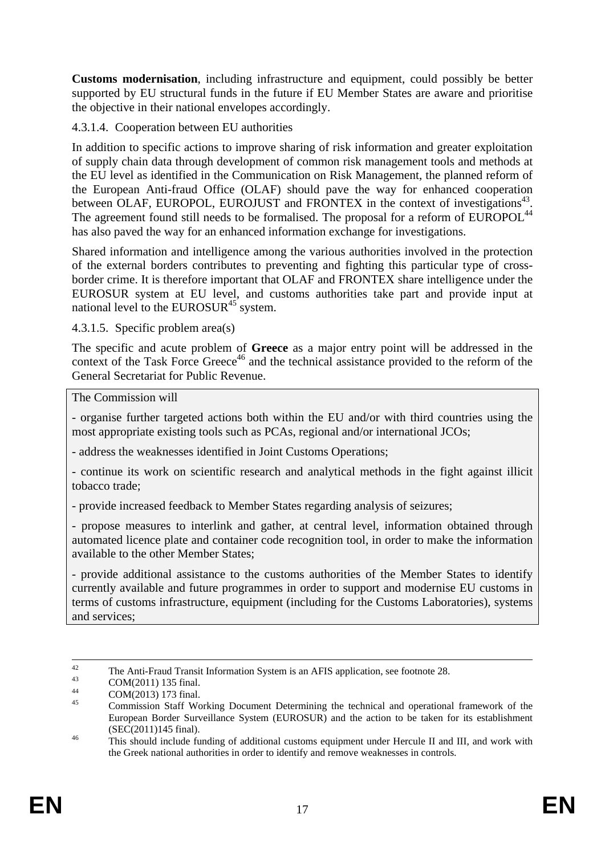**Customs modernisation**, including infrastructure and equipment, could possibly be better supported by EU structural funds in the future if EU Member States are aware and prioritise the objective in their national envelopes accordingly.

### <span id="page-16-0"></span>4.3.1.4. Cooperation between EU authorities

In addition to specific actions to improve sharing of risk information and greater exploitation of supply chain data through development of common risk management tools and methods at the EU level as identified in the Communication on Risk Management, the planned reform of the European Anti-fraud Office (OLAF) should pave the way for enhanced cooperation between OLAF, EUROPOL, EUROJUST and FRONTEX in the context of investigations<sup>43</sup>. The agreement found still needs to be formalised. The proposal for a reform of EUROPOL<sup>44</sup> has also paved the way for an enhanced information exchange for investigations.

Shared information and intelligence among the various authorities involved in the protection of the external borders contributes to preventing and fighting this particular type of crossborder crime. It is therefore important that OLAF and FRONTEX share intelligence under the EUROSUR system at EU level, and customs authorities take part and provide input at national level to the EUROSUR $45$  system.

#### <span id="page-16-1"></span>4.3.1.5. Specific problem area(s)

The specific and acute problem of **Greece** as a major entry point will be addressed in the context of the Task Force Greece<sup>46</sup> and the technical assistance provided to the reform of the General Secretariat for Public Revenue.

#### The Commission will

- organise further targeted actions both within the EU and/or with third countries using the most appropriate existing tools such as PCAs, regional and/or international JCOs;

- address the weaknesses identified in Joint Customs Operations;

- continue its work on scientific research and analytical methods in the fight against illicit tobacco trade;

- provide increased feedback to Member States regarding analysis of seizures;

- propose measures to interlink and gather, at central level, information obtained through automated licence plate and container code recognition tool, in order to make the information available to the other Member States;

- provide additional assistance to the customs authorities of the Member States to identify currently available and future programmes in order to support and modernise EU customs in terms of customs infrastructure, equipment (including for the Customs Laboratories), systems and services;

<sup>&</sup>lt;sup>42</sup> The Anti-Fraud Transit Information System is an AFIS application, see footnote 28.<br>COM(2011) 135 final.<br>44 COM(2011) 135 final.

 $^{44}$  COM(2013) 173 final.

<sup>45</sup> Commission Staff Working Document Determining the technical and operational framework of the European Border Surveillance System (EUROSUR) and the action to be taken for its establishment (SEC(2011)145 final).<br><sup>46</sup> This should include funding of additional customs equipment under Hercule II and III, and work with

the Greek national authorities in order to identify and remove weaknesses in controls.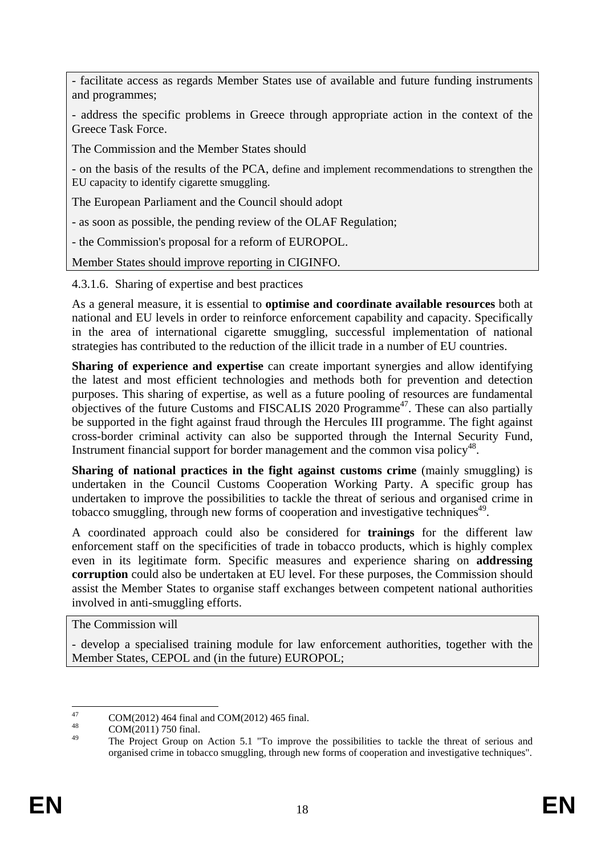- facilitate access as regards Member States use of available and future funding instruments and programmes;

- address the specific problems in Greece through appropriate action in the context of the Greece Task Force.

The Commission and the Member States should

- on the basis of the results of the PCA, define and implement recommendations to strengthen the EU capacity to identify cigarette smuggling.

The European Parliament and the Council should adopt

- as soon as possible, the pending review of the OLAF Regulation;

- the Commission's proposal for a reform of EUROPOL.

Member States should improve reporting in CIGINFO.

<span id="page-17-0"></span>4.3.1.6. Sharing of expertise and best practices

As a general measure, it is essential to **optimise and coordinate available resources** both at national and EU levels in order to reinforce enforcement capability and capacity. Specifically in the area of international cigarette smuggling, successful implementation of national strategies has contributed to the reduction of the illicit trade in a number of EU countries.

**Sharing of experience and expertise** can create important synergies and allow identifying the latest and most efficient technologies and methods both for prevention and detection purposes. This sharing of expertise, as well as a future pooling of resources are fundamental objectives of the future Customs and FISCALIS 2020 Programme<sup>47</sup>. These can also partially be supported in the fight against fraud through the Hercules III programme. The fight against cross-border criminal activity can also be supported through the Internal Security Fund, Instrument financial support for border management and the common visa policy<sup>48</sup>.

**Sharing of national practices in the fight against customs crime** (mainly smuggling) is undertaken in the Council Customs Cooperation Working Party. A specific group has undertaken to improve the possibilities to tackle the threat of serious and organised crime in tobacco smuggling, through new forms of cooperation and investigative techniques<sup>49</sup>.

A coordinated approach could also be considered for **trainings** for the different law enforcement staff on the specificities of trade in tobacco products, which is highly complex even in its legitimate form. Specific measures and experience sharing on **addressing corruption** could also be undertaken at EU level. For these purposes, the Commission should assist the Member States to organise staff exchanges between competent national authorities involved in anti-smuggling efforts.

The Commission will

- develop a specialised training module for law enforcement authorities, together with the Member States, CEPOL and (in the future) EUROPOL;

 $^{47}$  COM(2012) 464 final and COM(2012) 465 final.

The Project Group on Action 5.1 "To improve the possibilities to tackle the threat of serious and organised crime in tobacco smuggling, through new forms of cooperation and investigative techniques".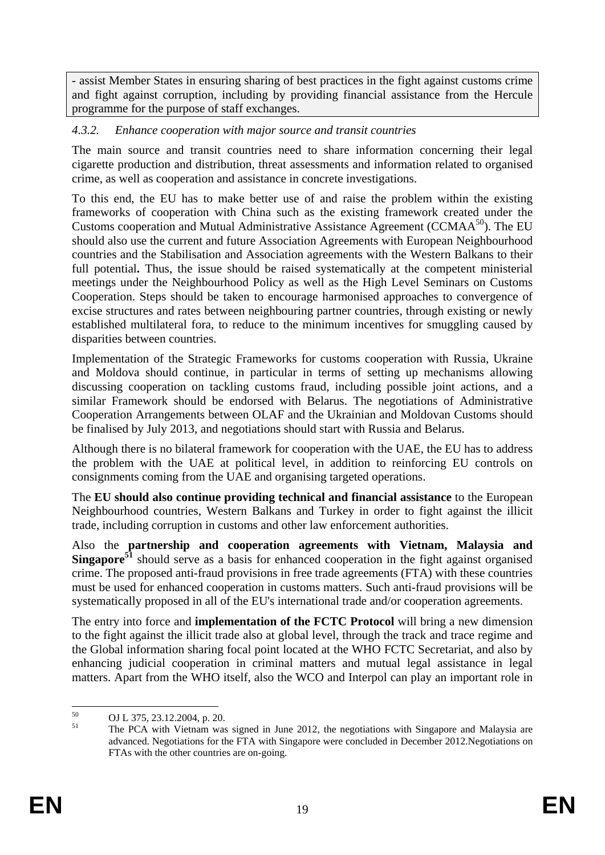- assist Member States in ensuring sharing of best practices in the fight against customs crime and fight against corruption, including by providing financial assistance from the Hercule programme for the purpose of staff exchanges.

### <span id="page-18-0"></span>*4.3.2. Enhance cooperation with major source and transit countries*

The main source and transit countries need to share information concerning their legal cigarette production and distribution, threat assessments and information related to organised crime, as well as cooperation and assistance in concrete investigations.

To this end, the EU has to make better use of and raise the problem within the existing frameworks of cooperation with China such as the existing framework created under the Customs cooperation and Mutual Administrative Assistance Agreement (CCMA $A^{50}$ ). The EU should also use the current and future Association Agreements with European Neighbourhood countries and the Stabilisation and Association agreements with the Western Balkans to their full potential. Thus, the issue should be raised systematically at the competent ministerial meetings under the Neighbourhood Policy as well as the High Level Seminars on Customs Cooperation. Steps should be taken to encourage harmonised approaches to convergence of excise structures and rates between neighbouring partner countries, through existing or newly established multilateral fora, to reduce to the minimum incentives for smuggling caused by disparities between countries.

Implementation of the Strategic Frameworks for customs cooperation with Russia, Ukraine and Moldova should continue, in particular in terms of setting up mechanisms allowing discussing cooperation on tackling customs fraud, including possible joint actions, and a similar Framework should be endorsed with Belarus. The negotiations of Administrative Cooperation Arrangements between OLAF and the Ukrainian and Moldovan Customs should be finalised by July 2013, and negotiations should start with Russia and Belarus.

Although there is no bilateral framework for cooperation with the UAE, the EU has to address the problem with the UAE at political level, in addition to reinforcing EU controls on consignments coming from the UAE and organising targeted operations.

The **EU should also continue providing technical and financial assistance** to the European Neighbourhood countries, Western Balkans and Turkey in order to fight against the illicit trade, including corruption in customs and other law enforcement authorities.

Also the **partnership and cooperation agreements with Vietnam, Malaysia and Singapore<sup>51</sup>** should serve as a basis for enhanced cooperation in the fight against organised crime. The proposed anti-fraud provisions in free trade agreements (FTA) with these countries must be used for enhanced cooperation in customs matters. Such anti-fraud provisions will be systematically proposed in all of the EU's international trade and/or cooperation agreements.

The entry into force and **implementation of the FCTC Protocol** will bring a new dimension to the fight against the illicit trade also at global level, through the track and trace regime and the Global information sharing focal point located at the WHO FCTC Secretariat, and also by enhancing judicial cooperation in criminal matters and mutual legal assistance in legal matters. Apart from the WHO itself, also the WCO and Interpol can play an important role in

 $50$  $^{50}$  OJ L 375, 23.12.2004, p. 20.

<sup>51</sup> The PCA with Vietnam was signed in June 2012, the negotiations with Singapore and Malaysia are advanced. Negotiations for the FTA with Singapore were concluded in December 2012.Negotiations on FTAs with the other countries are on-going.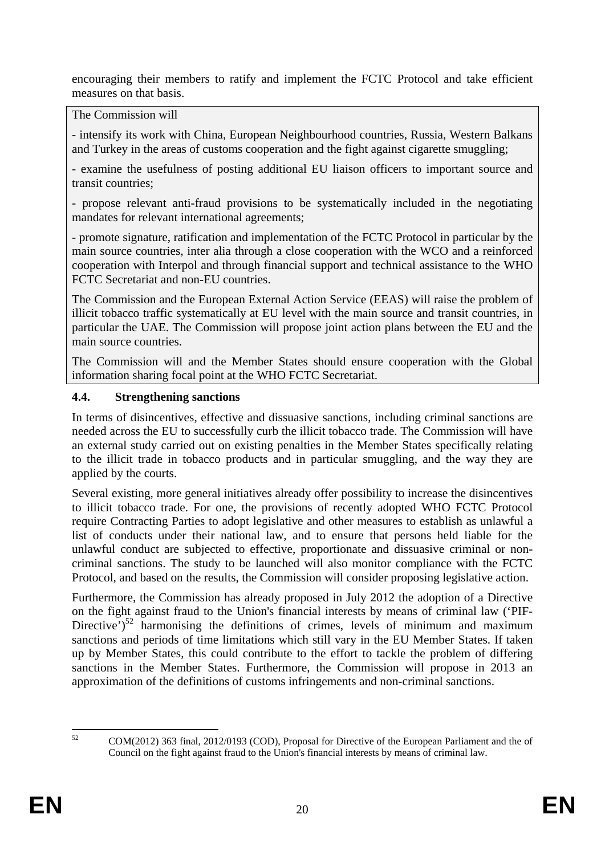encouraging their members to ratify and implement the FCTC Protocol and take efficient measures on that basis.

The Commission will

- intensify its work with China, European Neighbourhood countries, Russia, Western Balkans and Turkey in the areas of customs cooperation and the fight against cigarette smuggling;

- examine the usefulness of posting additional EU liaison officers to important source and transit countries;

- propose relevant anti-fraud provisions to be systematically included in the negotiating mandates for relevant international agreements;

- promote signature, ratification and implementation of the FCTC Protocol in particular by the main source countries, inter alia through a close cooperation with the WCO and a reinforced cooperation with Interpol and through financial support and technical assistance to the WHO FCTC Secretariat and non-EU countries.

The Commission and the European External Action Service (EEAS) will raise the problem of illicit tobacco traffic systematically at EU level with the main source and transit countries, in particular the UAE. The Commission will propose joint action plans between the EU and the main source countries.

The Commission will and the Member States should ensure cooperation with the Global information sharing focal point at the WHO FCTC Secretariat.

#### <span id="page-19-0"></span>**4.4. Strengthening sanctions**

In terms of disincentives, effective and dissuasive sanctions, including criminal sanctions are needed across the EU to successfully curb the illicit tobacco trade. The Commission will have an external study carried out on existing penalties in the Member States specifically relating to the illicit trade in tobacco products and in particular smuggling, and the way they are applied by the courts.

Several existing, more general initiatives already offer possibility to increase the disincentives to illicit tobacco trade. For one, the provisions of recently adopted WHO FCTC Protocol require Contracting Parties to adopt legislative and other measures to establish as unlawful a list of conducts under their national law, and to ensure that persons held liable for the unlawful conduct are subjected to effective, proportionate and dissuasive criminal or noncriminal sanctions. The study to be launched will also monitor compliance with the FCTC Protocol, and based on the results, the Commission will consider proposing legislative action.

Furthermore, the Commission has already proposed in July 2012 the adoption of a Directive on the fight against fraud to the Union's financial interests by means of criminal law ('PIF-Directive') $52$  harmonising the definitions of crimes, levels of minimum and maximum sanctions and periods of time limitations which still vary in the EU Member States. If taken up by Member States, this could contribute to the effort to tackle the problem of differing sanctions in the Member States. Furthermore, the Commission will propose in 2013 an approximation of the definitions of customs infringements and non-criminal sanctions.

<sup>52</sup> 

<sup>52</sup> COM(2012) 363 final, 2012/0193 (COD), Proposal for Directive of the European Parliament and the of Council on the fight against fraud to the Union's financial interests by means of criminal law.